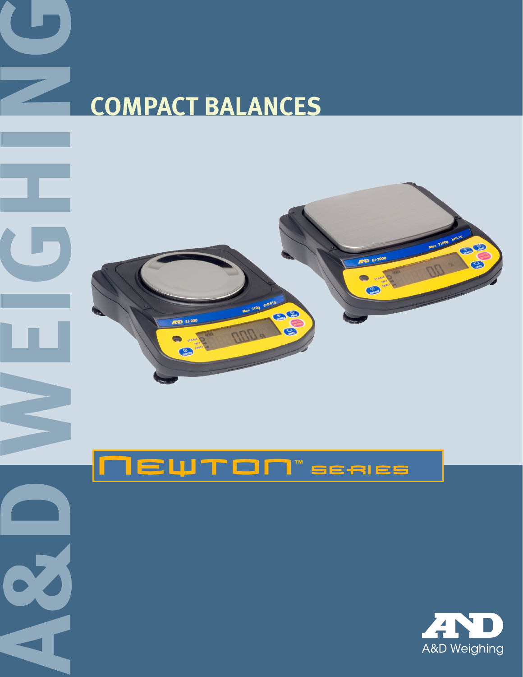



**RAWRED PRIMER** 

ND E